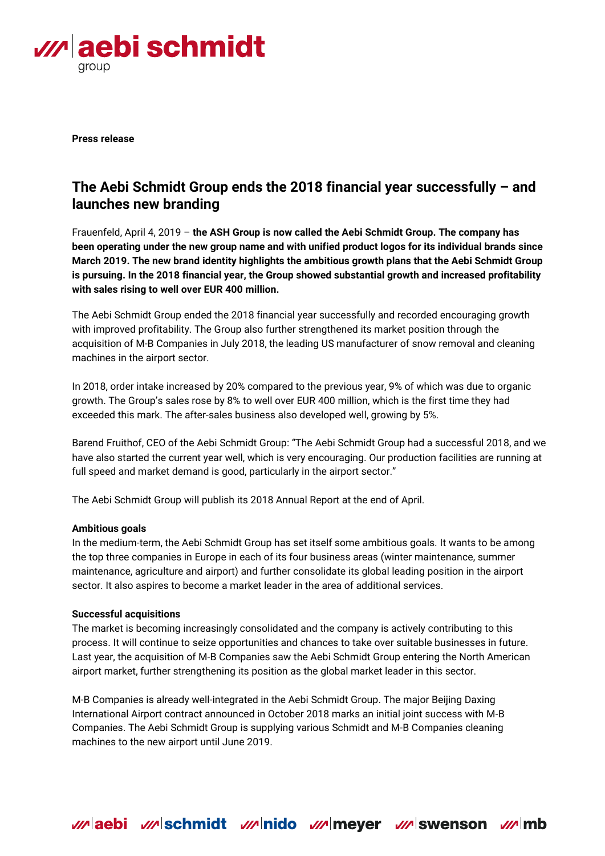

**Press release**

# **The Aebi Schmidt Group ends the 2018 financial year successfully – and launches new branding**

Frauenfeld, April 4, 2019 – **the ASH Group is now called the Aebi Schmidt Group. The company has been operating under the new group name and with unified product logos for its individual brands since March 2019. The new brand identity highlights the ambitious growth plans that the Aebi Schmidt Group is pursuing. In the 2018 financial year, the Group showed substantial growth and increased profitability with sales rising to well over EUR 400 million.**

The Aebi Schmidt Group ended the 2018 financial year successfully and recorded encouraging growth with improved profitability. The Group also further strengthened its market position through the acquisition of M-B Companies in July 2018, the leading US manufacturer of snow removal and cleaning machines in the airport sector.

In 2018, order intake increased by 20% compared to the previous year, 9% of which was due to organic growth. The Group's sales rose by 8% to well over EUR 400 million, which is the first time they had exceeded this mark. The after-sales business also developed well, growing by 5%.

Barend Fruithof, CEO of the Aebi Schmidt Group: "The Aebi Schmidt Group had a successful 2018, and we have also started the current year well, which is very encouraging. Our production facilities are running at full speed and market demand is good, particularly in the airport sector."

The Aebi Schmidt Group will publish its 2018 Annual Report at the end of April.

## **Ambitious goals**

In the medium-term, the Aebi Schmidt Group has set itself some ambitious goals. It wants to be among the top three companies in Europe in each of its four business areas (winter maintenance, summer maintenance, agriculture and airport) and further consolidate its global leading position in the airport sector. It also aspires to become a market leader in the area of additional services.

## **Successful acquisitions**

The market is becoming increasingly consolidated and the company is actively contributing to this process. It will continue to seize opportunities and chances to take over suitable businesses in future. Last year, the acquisition of M-B Companies saw the Aebi Schmidt Group entering the North American airport market, further strengthening its position as the global market leader in this sector.

M-B Companies is already well-integrated in the Aebi Schmidt Group. The major Beijing Daxing International Airport contract announced in October 2018 marks an initial joint success with M-B Companies. The Aebi Schmidt Group is supplying various Schmidt and M-B Companies cleaning machines to the new airport until June 2019.